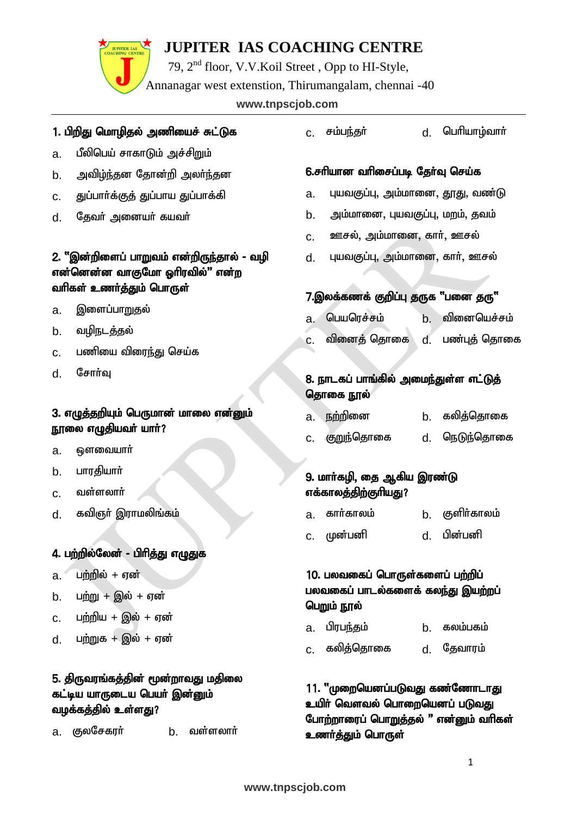79, 2nd floor, V.V.Koil Street , Opp to HI-Style,

Annanagar west extenstion, Thirumangalam, chennai -40

#### www.tnpscjob.com

#### 1. பிறிது மொழிதல் அணியைச் சுட்டுக

- a. பீலிபெய் சாகாடும் அச்சிறும்
- b. அவிழ்ந்தன தோன்றி அலர்ந்தன
- c. துப்பார்க்குத் துப்பாய துப்பாக்கி
- d. தேவர் அனையர் கயவர்

#### 2. "இன்றிளைப் பாறுவம் என்றிருந்தால் - வழி என்னென்ன வாகுமோ ஒரிரவில்" என்ற வரிகள் உணர்த்தும் பொருள்

- a. இளைப்பாறு**தல்**
- b. வழிநடத்தல்
- c. பணியை விரைந்து செய்க
- $d$  சோர்வ

#### 3. எழுத்தறியும் பெருமான் மாலை என்னும் நூலை எழுதியவா் யாா்?

- $a.$   $\Theta$ ளவையார்
- b. பாரதியார்
- $c.$  வள்ளலார்
- d. கவிஞா் இராமலிங்கம்

#### 4. பற்றில்லேன் - பிரித்து எழுதுக

- $a.$  பற்றில் + ஏன்
- b.  $Lm \dot{m} + Qm \dot{\omega} + \sigma m \dot{\omega}$
- $c.$  பற்றிய + இல் + ஏன்
- $d.$  பற்றுக $+$  இல் $+$  ஏன்

#### 5. திருவரங்கத்தின் மூன்றாவது மதிலை கட்டிய யாருடைய பெயர் இன்னும் வழக்கத்தில் உள்ளது?

a. குலசேகரர் b. வள்ளலார்

c. rk;ge;jh; d. nghpaho;thh;

#### 6.சரியான வரிசைப்படி தேர்வு செய்க

- a. புயவகுப்பு, அம்மானை, தூது, வண்டு
- b. அம்மானை, புயவகுப்பு, மறம், தவம்
- c. ஊசல், அம்மானை, கார், ஊசல்
- d. புயவகுப்பு, அம்மானை, கார், ஊசல்

#### 7.இலக்கணக் குறிப்பு தருக "பனை தரு"

- a. பெயரெச்சம் b. வினையெச்சம்
- c. விளைத் தொகை d. பண்புத் தொகை

#### 8. நாடகப் பாங்கில் அமைந்துள்ள எட்டுத் தொகை நூல்

|  | a. நற்றினை |  | கலித்தொகை |
|--|------------|--|-----------|
|--|------------|--|-----------|

c. FWe;njhif d. neLe;njhif

#### 9. மாா்கழி, தை ஆகிய இரண்டு எக்கால<u>த்திற்கு</u>ரியது?

a. காா்காலம் b. குளிா்காலம் c. Kd;gdp d. gpd;gdp

#### 10. பலவகைப் பொருள்களைப் பற்றிப் பலவகைப் பாடல்களைக் கலந்து இயற்றப் பெறும் நூல்

- a. பிரபந்தம் b. கலம்பகம்
- c. கலித்தொகை d. தேவாரம்

#### 11. "முறையெனப்படுவது கண்ணோடாது உயிா் வெளவல் பொறையெனப் படுவது போற்றாரைப் பொறுத்தல் " என்னும் வரிகள் உணர்த்தும் பொருள்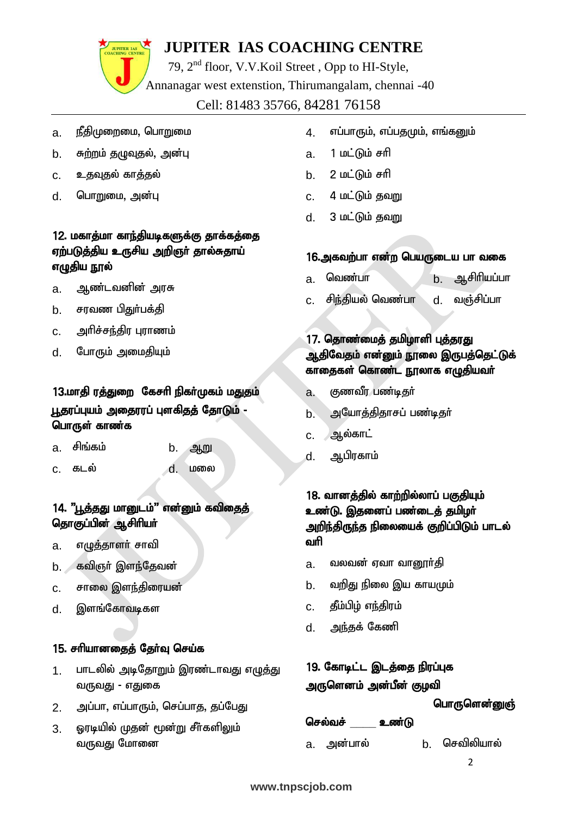

79, 2nd floor, V.V.Koil Street , Opp to HI-Style,

Annanagar west extenstion, Thirumangalam, chennai -40

Cell: 81483 35766, 84281 76158

- <u>a. நீதிமுறைமை, பொறுமை</u>
- b. சுற்றம் தழுவுதல், அன்பு
- c. உதவுதல் காத்தல்
- d. பொறுமை, அன்பு

#### 12. மகாத்மா காந்தியடிகளுக்கு தாக்கத்தை ஏற்படுத்திய உருசிய அறிஞர் தால்சுதாய் எழுதிய நூல்

- a. ஆண்டவனின் அரசு
- b. சரவண பிதுர்பக்கி
- c. அரிச்சந்திர புராணம்
- d. போரும் அமைதியும்

#### 13.மாதி ரத்துறை கேசரி நிகர்முகம் மதுதம் பூதரப்புயம் அதைரரப் புளகிதத் தோடும் -பொருள் காண்க $\,$

- a. சிங்கம் b. ஆறு
	-
- c. fly; d. kiy

#### 14. "பூத்தது மானுடம்" என்னும் கவிதைத் தொகுப்பின் ஆசிரியா்

- a. எழுத்தாளர் சாவி
- b. கவிஞா் இளந்தேவன்
- $c.$  சாலை இளந்திரையன்
- d. இளங்கோவடிகள

#### 15. சரியானதைத் தேர்வு செய்க

- 1. பாடலில் அடிதோறும் இரண்டாவது எழுத்து வருவது - எதுகை
- 2. அப்பா, எப்பாரும், செப்பாகு, குப்பேது
- 3. ஓரடியில் முதன் மூன்று சீர்களிலும் வருவது மோனை
- 4. எப்பாரும், எப்பதமும், எங்கனும்
- a. 1 மட்டும் சரி
- b. 2 மட்டும் சரி
- $c.$  4  $\mu$ ட்டும் தவறு
- $d.$  3 மட்டும் தவறு

#### 16.அகவற்பா என்ற பெயருடைய பா வகை

- a. வெண்பா b. ஆசிரியப்பா
- c. சிந்தியல் வெண்பா d. வஞ்சிப்பா

#### 17. தொண்மைத் தமிழாளி புத்தரது ஆதிவேதம் என்னும் நூலை இருபத்தெட்டுக் காதைகள் கொண்ட நூலாக எழுதியவர்

- a. குணவீர பண்டிதர்
- b. அயோத்திதாசப் பண்டிதர்
- $c.$  ஆல்காட்
- d. ஆபிரகாம்

#### 18. வானத்தில் காற்றில்லாப் பகுதியும் உண்டு. இதனைப் பண்டைத் தமிழர் அறிந்திருந்த நிலையைக் குறிப்பிடும் பாடல் வரி

- a. வலவன் ஏவா வானூா்தி
- <u>b. உவறிது நி</u>லை இய காயமும்
- c. தீம்பிழ் எந்திரம்
- d. அந்தக் கேணி

#### 19. கோடிட்ட இடத்தை நிரப்புக அருளெனம் அன்பீன் குழவி

#### பொருளென்னுஞ்

#### செல்வச் உண்டு

a. அன்பால் b. செவிலியால்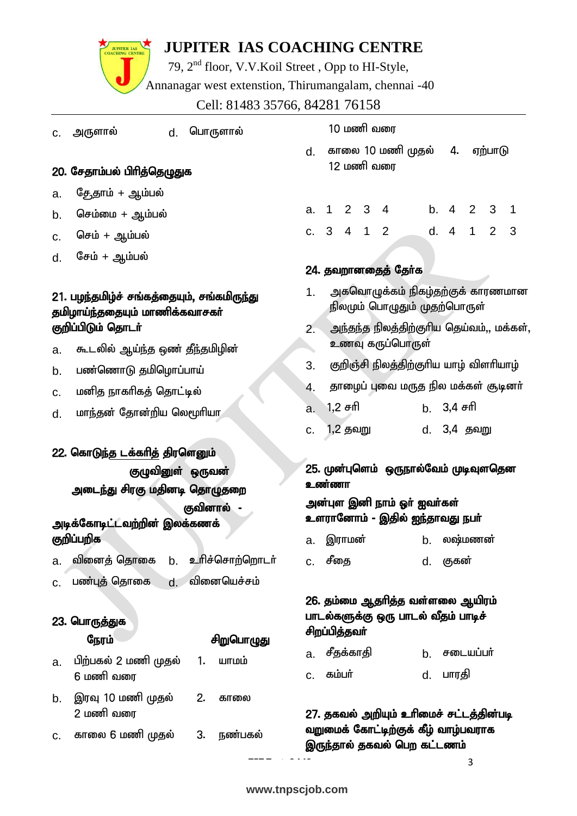

79, 2nd floor, V.V.Koil Street , Opp to HI-Style, Annanagar west extenstion, Thirumangalam, chennai -40

Cell: 81483 35766, 84281 76158

| d. பொருளால்<br>c. அருளால்                                                    | 10 மணி வரை                                                                              |
|------------------------------------------------------------------------------|-----------------------------------------------------------------------------------------|
|                                                                              | காலை 10 மணி முதல்<br>4. ஏற்பாடு<br>d.                                                   |
| 20. சேதாம்பல் பிரித்தெழுதுக                                                  | 12 மணி வரை                                                                              |
| தேதாம் + ஆம்பல்<br>a.                                                        |                                                                                         |
| செம்மை + ஆம்பல்<br>b.                                                        | b. 4<br>$2 \quad 3 \quad 4$<br>2<br>3<br>$1 \quad$<br>1<br>a.                           |
| செம் + ஆம்பல்<br>C.                                                          | d. 4<br>$\mathbf{1}$<br>$\overline{2}$<br>3<br>3 4 1 2<br>C.                            |
| சேம் + ஆம்பல்<br>d.                                                          |                                                                                         |
|                                                                              | 24. தவறானதைத் தேர்க                                                                     |
| 21. பழந்தமிழ்ச் சங்கத்தையும், சங்கமிருந்து<br>தமிழாய்ந்ததையும் மாணிக்கவாசகர் | அகவொழுக்கம் நிகழ்தற்குக் காரணமான<br>1.<br>நிலமும் பொழுதும் முதற்பொருள்                  |
| குறிப்பிடும் தொடர்                                                           | அந்தந்த நிலத்திற்குரிய தெய்வம்,, மக்கள்,<br>$2 -$                                       |
| கூடலில் ஆய்ந்த ஒண் தீந்தமிழின்<br>a.                                         | உணவு கருப்பொருள்                                                                        |
| பண்ணொடு தமிழொப்பாய்<br>b.                                                    | குறிஞ்சி நிலத்திற்குரிய யாழ் விளரியாழ்<br>3.                                            |
| மனித நாகரிகத் தொட்டில்<br>c.                                                 | தாழைப் புவை மருத நில மக்கள் சூடினா்<br>4.                                               |
| மாந்தன் தோன்றிய லெமூரியா<br>d.                                               | 1,2 சரி<br>b. 3,4 சரி<br>a.                                                             |
|                                                                              | 1,2 தவறு<br>d. 3,4 தவறு<br>C.                                                           |
| 22. கொடுந்த டக்கரித் திரளெனும்                                               |                                                                                         |
|                                                                              |                                                                                         |
| குழுவினுள் ஒருவன்                                                            | 25. முன்புளெம் ஒருநால்வேம் முடிவுளதென                                                   |
| அடைந்து சிரகு மதினடி தொழுதறை                                                 | உண்ணா                                                                                   |
| குவினால் -                                                                   | அன்புள இனி நாம் ஓா் ஐவா்கள்<br>உளரானோம் – இதில் ஐந்தாவது நபா்                           |
| அடிக்கோடிட்டவற்றின் இலக்கணக்<br>குறிப்பறிக                                   | லஷ்மணன்<br>இராமன்<br>b.<br>a.                                                           |
| உரிச்சொற்றொடர்<br>வினைத் தொகை<br>b.<br>a.                                    | சீதை<br>குகன்<br>d.<br>c.                                                               |
| வினையெச்சம்<br>பண்புத் தொகை<br>d.<br>c.                                      |                                                                                         |
| 23. பொருத்துக                                                                | 26. தம்மை ஆதரித்த வள்ளலை ஆயிரம்<br>பாடல்களுக்கு ஒரு பாடல் வீதம் பாடிச்<br>சிறப்பித்தவர் |
| நேரம்<br>சிறுபொழுது                                                          | சீதக்காதி<br>சடையப்பர்<br>b.<br>a.                                                      |
| பிற்பகல் 2 மணி முதல்<br>யாமம்<br>1.<br>a.<br>6 மணி வரை                       | கம்பர்<br>பாரதி<br>d.<br>C.                                                             |
| இரவு 10 மணி முதல்<br>2.<br>காலை<br>b.                                        |                                                                                         |
| 2 மணி வரை                                                                    | 27. தகவல் அறியும் உரிமைச் சட்டத்தின்படி                                                 |
| நண்பகல்<br>காலை 6 மணி முதல்<br>3.<br>C.                                      | வறுமைக் கோட்டிற்குக் கீழ் வாழ்பவராக<br>இருந்தால் தகவல் பெற கட்டணம்                      |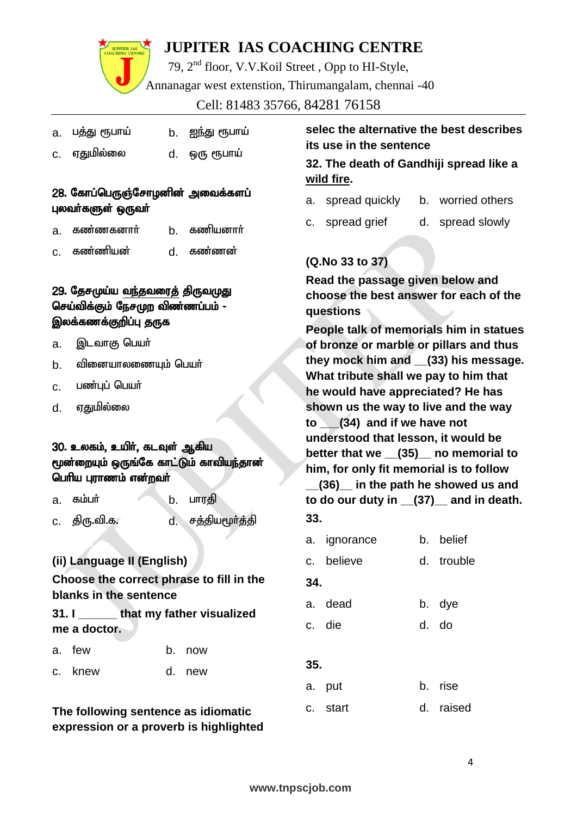

79, 2nd floor, V.V.Koil Street , Opp to HI-Style, Annanagar west extenstion, Thirumangalam, chennai -40

Cell: 81483 35766, 84281 76158

| a. பத்து ரூபாய் | b. ஐந்து ரூபாய் |  |
|-----------------|-----------------|--|
|                 |                 |  |

c. ஏதுமில்லை d. ஒரு ரூபாய்

#### 28. கோப்பெருஞ்சோழனின் அவைக்களப் புலவர்களுள் ஒருவர்

- a. கண்ணகனார் b. கணியனார்
- c. fz;zpad; d. fz;zd;

#### 29. தேசமுய்ய வந்தவரைத் திருவமுது செய்விக்கும் நேசமுற விண்ணப்பம் -இலக்கணக்குறிப்பு தருக

- a. இடவாகு பெயர்
- $b<sub>i</sub>$  வினையாலணையும் பெயர்
- c. பண்புப் பெயர்
- d. ஏதுமில்லை

#### 30. உலகம், உயிர், கடவுள் ஆகிய மூன்றையும் ஒருங்கே காட்டும் காவியந்தான் பெரிய புராணம் என்றவர்

| கமமா<br>a. |  | பாரதி |
|------------|--|-------|
|------------|--|-------|

c. திரு.வி.க. d. சத்தியமூர்த்தி

#### **(ii) Language II (English)**

#### **Choose the correct phrase to fill in the blanks in the sentence**

#### **31. I \_\_\_\_\_\_ that my father visualized me a doctor.**

- a. few b. now
- c. knew d. new

#### **The following sentence as idiomatic expression or a proverb is highlighted**

#### **selec the alternative the best describes its use in the sentence**

#### **32. The death of Gandhiji spread like a wild fire.**

- a. spread quickly b. worried others
- c. spread grief d. spread slowly

#### **(Q.No 33 to 37)**

**Read the passage given below and choose the best answer for each of the questions**

**People talk of memorials him in statues of bronze or marble or pillars and thus they mock him and \_\_(33) his message. What tribute shall we pay to him that he would have appreciated? He has shown us the way to live and the way to \_\_\_(34) and if we have not understood that lesson, it would be better that we \_\_(35)\_\_ no memorial to him, for only fit memorial is to follow \_\_(36)\_\_ in the path he showed us and to do our duty in \_\_(37)\_\_ and in death. 33.**

- a. ignorance b. belief
- c. believe d. trouble
- **34.**
- a. dead b. dye c. die d. do
- **35.**
- a. put b. rise c. start d. raised
- **www.tnpscjob.com**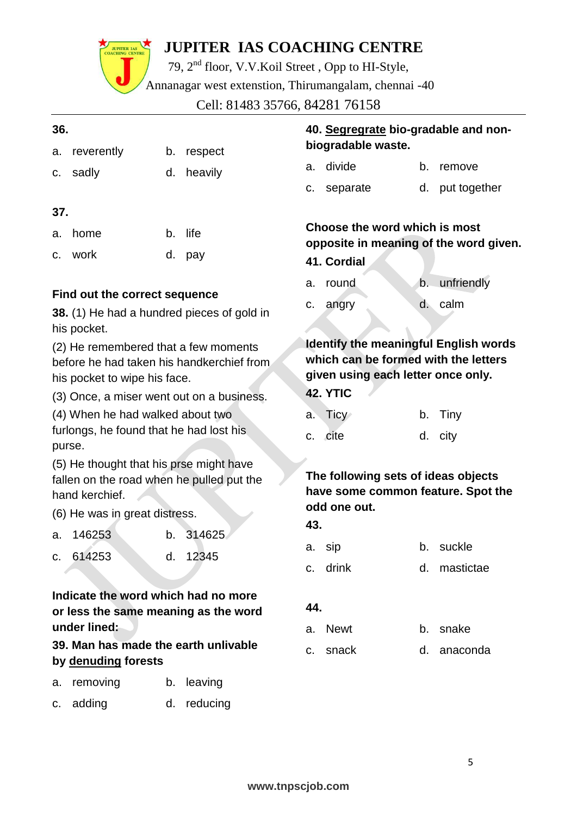JUPITER LAS

79, 2nd floor, V.V.Koil Street , Opp to HI-Style,

Annanagar west extenstion, Thirumangalam, chennai -40

Cell: 81483 35766, 84281 76158

| 36. |                                                                                                                   |    | 40. Segregrate bio-gradable and non- |     |                                                                                                                            |    |                 |
|-----|-------------------------------------------------------------------------------------------------------------------|----|--------------------------------------|-----|----------------------------------------------------------------------------------------------------------------------------|----|-----------------|
| a.  | reverently                                                                                                        | b. | respect                              |     | biogradable waste.                                                                                                         |    |                 |
| C.  | sadly                                                                                                             | d. | heavily                              |     | a. divide                                                                                                                  | b. | remove          |
|     |                                                                                                                   |    |                                      | C.  | separate                                                                                                                   |    | d. put together |
| 37. |                                                                                                                   |    |                                      |     |                                                                                                                            |    |                 |
| a.  | home                                                                                                              | b. | life                                 |     | Choose the word which is most<br>opposite in meaning of the word given.                                                    |    |                 |
| C.  | work                                                                                                              |    | d. pay                               |     | 41. Cordial                                                                                                                |    |                 |
|     | Find out the correct sequence                                                                                     |    |                                      | a.  | round                                                                                                                      | b. | unfriendly      |
|     | 38. (1) He had a hundred pieces of gold in<br>his pocket.                                                         |    |                                      | с.  | angry                                                                                                                      |    | d. calm         |
|     | (2) He remembered that a few moments<br>before he had taken his handkerchief from<br>his pocket to wipe his face. |    |                                      |     | <b>Identify the meaningful English words</b><br>which can be formed with the letters<br>given using each letter once only. |    |                 |
|     | (3) Once, a miser went out on a business.                                                                         |    |                                      |     | 42. YTIC                                                                                                                   |    |                 |
|     | (4) When he had walked about two                                                                                  |    |                                      | a.  | Ticy                                                                                                                       | b. | <b>Tiny</b>     |
|     | furlongs, he found that he had lost his<br>purse.                                                                 |    |                                      | C.  | cite                                                                                                                       | d. | city            |
|     | (5) He thought that his prse might have<br>fallen on the road when he pulled put the<br>hand kerchief.            |    |                                      |     | The following sets of ideas objects<br>have some common feature. Spot the                                                  |    |                 |
|     | (6) He was in great distress.                                                                                     |    |                                      |     | odd one out.                                                                                                               |    |                 |
| a.  | 146253                                                                                                            |    | b. 314625                            | 43. |                                                                                                                            |    |                 |
|     | c. 614253                                                                                                         | d. | 12345                                |     | a. sip                                                                                                                     | b. | suckle          |
|     |                                                                                                                   |    |                                      |     | c. drink                                                                                                                   |    | d. mastictae    |
|     | Indicate the word which had no more<br>or less the same meaning as the word                                       |    |                                      | 44. |                                                                                                                            |    |                 |
|     | under lined:                                                                                                      |    |                                      | a.  | Newt                                                                                                                       |    | b. snake        |
|     | 39. Man has made the earth unlivable<br>by denuding forests                                                       |    |                                      | C.  | snack                                                                                                                      |    | d. anaconda     |
| a.  | removing                                                                                                          |    | b. leaving                           |     |                                                                                                                            |    |                 |
| C.  | adding                                                                                                            |    | d. reducing                          |     |                                                                                                                            |    |                 |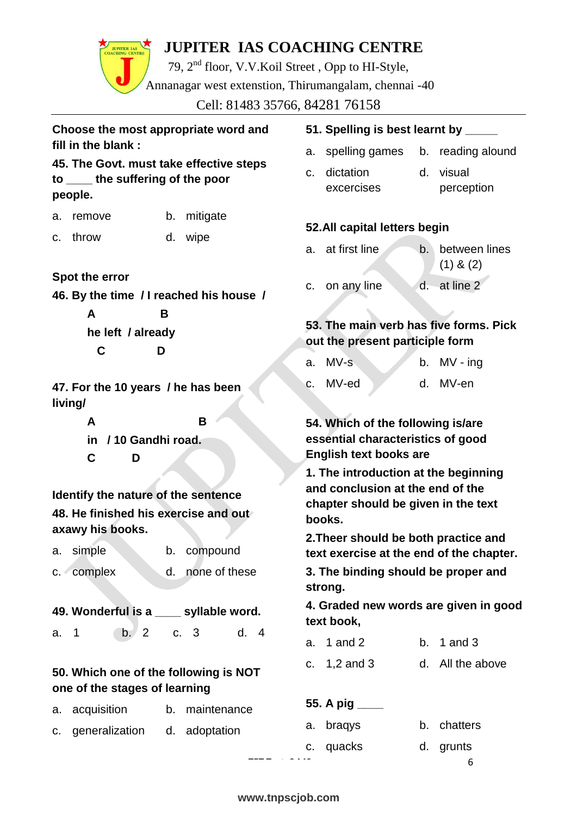79, 2nd floor, V.V.Koil Street , Opp to HI-Style, Annanagar west extenstion, Thirumangalam, chennai -40

Cell: 81483 35766, 84281 76158

| Choose the most appropriate word and |  |
|--------------------------------------|--|
| fill in the blank :                  |  |

**45. The Govt. must take effective steps to \_\_\_\_ the suffering of the poor people.**

- a. remove b. mitigate
- c. throw d. wipe

#### **Spot the error**

**46. By the time / I reached his house / A B**

**he left / already C D**

**47. For the 10 years / he has been living/** 

> **A B in / 10 Gandhi road. C D**

**Identify the nature of the sentence 48. He finished his exercise and out axawy his books.**

- a. simple b. compound
- c. complex d. none of these

**49. Wonderful is a \_\_\_\_ syllable word.** a. 1 b. 2 c. 3 d. 4

#### **50. Which one of the following is NOT one of the stages of learning**

- a. acquisition b. maintenance
- c. generalization d. adoptation

## **51. Spelling is best learnt by \_\_\_\_\_**

- a. spelling games b. reading alound
- c. dictation excercises d. visual perception

#### **52.All capital letters begin**

a. at first line b. between lines (1) & (2) c. on any line d. at line 2

#### **53. The main verb has five forms. Pick out the present participle form**

| a. MV-s  |  | b. $MV - ing$ |
|----------|--|---------------|
| c. MV-ed |  | d. MV-en      |

**54. Which of the following is/are essential characteristics of good English text books are**

**1. The introduction at the beginning and conclusion at the end of the chapter should be given in the text books.**

**2.Theer should be both practice and text exercise at the end of the chapter.**

**3. The binding should be proper and strong.**

**4. Graded new words are given in good text book,**

| a. 1 and 2 | b. $1$ and $3$ |  |
|------------|----------------|--|
|            |                |  |

| c. $1,2$ and 3 |  | d. All the above |  |
|----------------|--|------------------|--|
|----------------|--|------------------|--|

#### **55. A pig \_\_\_\_**

|  | alization d. adoptation |  | a. bragys | b. chatters |
|--|-------------------------|--|-----------|-------------|
|  |                         |  | c. quacks | d. grunts   |
|  |                         |  |           | b           |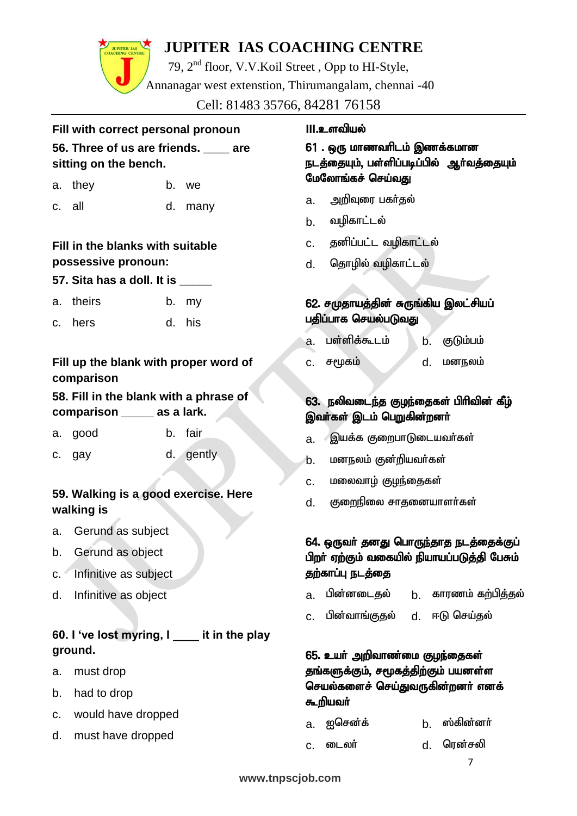79, 2nd floor, V.V.Koil Street , Opp to HI-Style, Annanagar west extenstion, Thirumangalam, chennai -40

Cell: 81483 35766, 84281 76158

#### **Fill with correct personal pronoun 56. Three of us are friends. \_\_\_\_ are sitting on the bench.**

| a. they | b. we |
|---------|-------|
|         |       |

c. all d. many

#### **Fill in the blanks with suitable possessive pronoun:**

#### **57. Sita has a doll. It is \_\_\_\_\_**

- a. theirs b. my
- c. hers d. his

#### **Fill up the blank with proper word of comparison**

#### **58. Fill in the blank with a phrase of comparison \_\_\_\_\_ as a lark.**

- a. good b. fair
- c. gay d. gently

#### **59. Walking is a good exercise. Here walking is**

- a. Gerund as subject
- b. Gerund as object
- c. Infinitive as subject
- d. Infinitive as object

#### **60. I 've lost myring, I \_\_\_\_ it in the play ground.**

- a. must drop
- b. had to drop
- c. would have dropped
- d. must have dropped

#### **III.உளவியல்**

#### $61$  . ஒரு மாணவரிடம் இணக்கமான நடத்தையும், பள்ளிப்படிப்பில் ஆர்வத்தையும் மேலோங்கச் செய்வது

- a. அறிவுரை பகர்குல்
- b. வழிகாட்டல்
- c. தனிப்பட்ட வழிகாட்டல்
- d. தொழில் வழிகாட்டல்

#### 62. சமுதாயத்தின் சுருங்கிய இலட்சியப் பதிப்பாக செயல்படுவது

- a. பள்ளிக்கூடம் b. குடும்பம்
- $c.$  சமூகம் , மனநலம்

#### $63.$  நலிவடைந்த குழந்தைகள் பிரிவின் கீழ் இவர்கள் இடம் பெறுகின்றனர்

- a. இயக்க குறைபாடுடையவர்கள்
- b. மனநலம் குன்றியவர்கள்
- C. மலைவாழ் <u>குழ</u>ந்தைகள்
- d. குறைநிலை சாதனையாளர்கள்

#### 64. ஒருவர் தனது பொருந்தாத நடத்தைக்குப் பிறர் ஏற்கும் வகையில் நியாயப்படுத்தி பேசும் தற்காப்பு நடத்தை

- a. பின்னடைகல் b. காரணம்-கற்பிக்கல்
- c. பின்வாங்குதல் d. ஈடு செய்தல்

#### 65. உயர் அறிவாண்மை குழந்தைகள் தங்களுக்கும், சமூகத்திற்கும் பயனள்ள செயல்களைச் செய்துவருகின்றனா் எனக் கூறியவா்

- a. ഇசென்க் b. ஸ்கின்னா்
- c. டைலர் d. ரென்சலி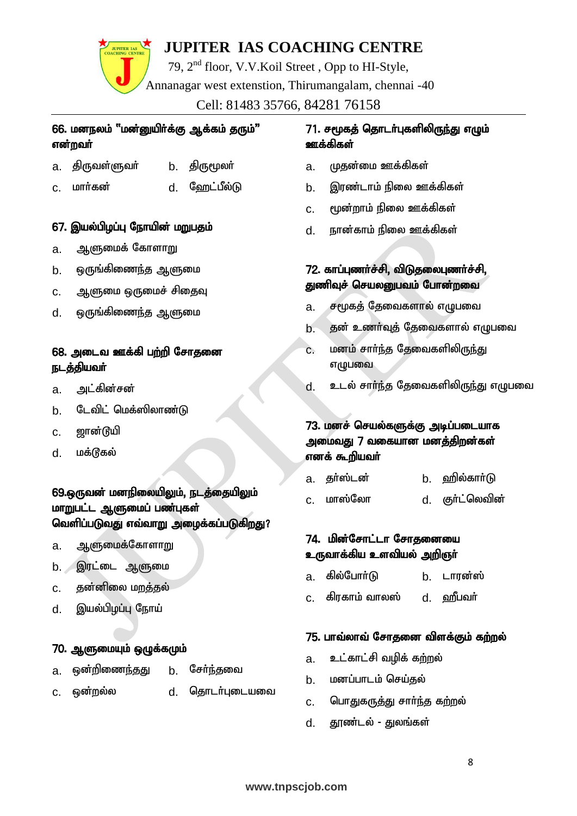79, 2nd floor, V.V.Koil Street , Opp to HI-Style, Annanagar west extenstion, Thirumangalam, chennai -40

Cell: 81483 35766, 84281 76158

#### 66. மனநலம் "மன்னுயிர்க்கு ஆக்கம் தரும்" என்றவர்

- a. திருவள்ளுவர் b. திருமூலர்
- c. மார்கன் d. ஹேட்பீல்டு

#### 67. இயல்பிழப்பு நோயின் மறுபதம்

- a. ஆளுமைக் கோள<u>ா</u>று
- $\mathbf b$ .  $\mathbf e_0$ ருங்கிணைந்த ஆளுமை
- c. ஆளுமை ஒருமைச் சிதைவு
- d. ஒருங்கிணை<u>ந்</u>த ஆளுமை

#### 68. அடைவ ஊக்கி பற்றி சோதனை நடத்தியவர்

- a. அட்கின்சன்
- b. டேவிட் மெக்ஸிலாண்டு
- $c.$  னான்டுயி
- d. மக்டூகல்

#### 69.ஒருவன் மனநிலையிலும், நடத்தையிலும் மாறுபட்ட ஆளுமைப் பண்புகள் வெளிப்படுவது எவ்வாறு அழைக்கப்படுகிறது?

- a. ஆளுமைக்கோள<u>ா</u>று
- b. இரட்டை ஆளுமை
- c. தன்னிலை மறத்தல்
- d. இயல்பிழப்பு நோய்

#### 70. ஆளுமையும் ஒழுக்கமும்

- a. ஒன்றிணை<u>ந்தது</u> b. சேர்ந்தவை
- c. ஒன்றல்ல d. தொடர்புடையவை
- 

#### <u>71. சமூகத்</u> தொடர்புகளிலிருந்து எழும் ஊக்கிகள்

- a. முகன்மை ஊக்கிகள்
- b. இரண்டாம் நிலை ஊக்கிகள்
- c. %d;whk; epiy Cf;fpfs;
- d. ehd;fhk; epiy Cf;fpfs;

#### 72. காப்புணர்ச்சி, விடுதலைபுணர்ச்சி, துணிவுச் செயலனுபவம் போன்றவை

- a. சமூகத் தேவைகளால் எழுபவை
- b. தன் உணர்வுத் தேவைகளால் எழுபவை
- <u>c. மனம் சார்ந்த</u> தேவைகளிலிருந்து எழுபவை
- d. உடல் சார்ந்த தேவைகளிலிருந்து எழுபவை

#### 73. மனச் செயல்களுக்கு அடிப்படையாக அமைவது 7 வகையான மனக்கிறன்கள் எனக் கூறியவா்

- a. தா்ஸ்டன் b. ஹில்காா்டு
- c. மாஸ்லோ d. குா்ட்லெவின்

#### 74. மின்சோட்டா சோகனையை உருவாக்கிய உளவியல் அறிஞா்

- a. கில்போர்டு b. டாரன்ஸ்
- c. கிரகாம் வாலஸ் d. வரீபவர்

#### 75. பாவ்லாவ் சோதனை விளக்கும் கற்றல்

- a. உட்காட்சி வழிக் கற்றல்
- b. மனப்பாடம் செய்கல்
- C. பொதுகருத்து சார்ந்த கற்றல்
- d. தூண்டல் துலங்கள்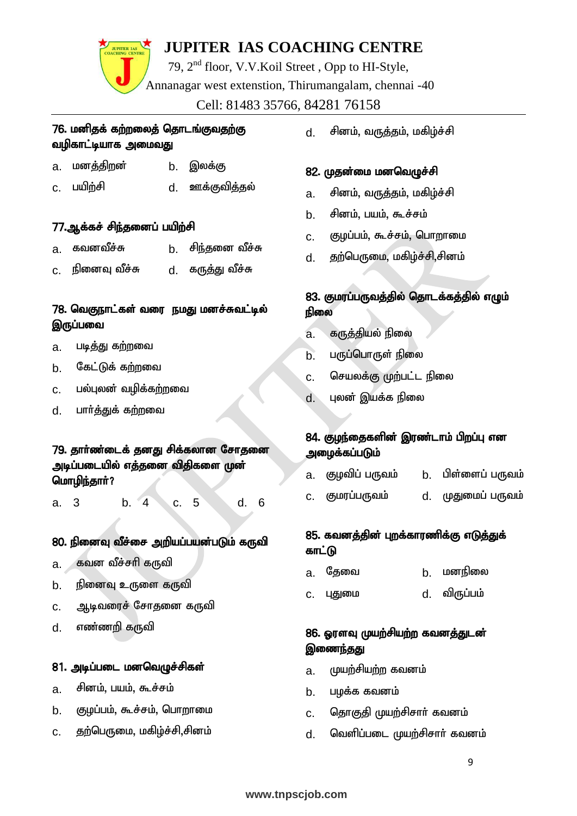79, 2nd floor, V.V.Koil Street , Opp to HI-Style, Annanagar west extenstion, Thirumangalam, chennai -40 Cell: 81483 35766, 84281 76158

#### 76. மனிதக் கற்றலைத் தொடங்குவதற்கு வழிகாட்டியாக அமைவது

- a. மனத்திறன் b. இலக்கு
- c. gapw;rp d. Cf;Ftpj;jy;

#### 77.ஆக்கச் சிந்தனைப் பயிற்சி

- a. கவனவீச்சு b. சிந்தனை வீச்சு
- c. நினைவு வீச்சு d. கருத்து வீச்சு

#### 78. வெகுநாட்கள் வரை நமது மனச்சுவட்டில் இருப்பவை

- a. படித்து கற்றவை
- b. கேட்டுக் க**ற்ற**வை
- c. பல்புலன் வழிக்கற்றவை
- d. பார்த்துக் கற்றவை

#### 79. தார்ண்டைக் தனது சிக்கலான சோகனை அடிப்படையில் எத்தனை விதிகளை முன் மொழிந்தார்?

a. 3 b. 4 c. 5 d. 6

#### 80. நினைவு வீச்சை அறியப்பயன்படும் கருவி

- a. கவன வீச்சரி கருவி
- $b.$  நினைவு உருளை கருவி
- c. ஆடிவரைச் சோதனை கருவி
- d. எண்ணறி கருவி

#### 81. அடிப்படை மனவெழுச்சிகள்

- a. சினம், பயம், கூச்சம்
- b. குடிப்பம், கூச்சம், பொறாமை
- c. தற்பெருமை, மகிழ்ச்சி,சினம்

d. சினம், வருத்தம், மகிழ்ச்சி

#### 82. முதன்மை மனவெமுச்சி

- a. சினம், வருத்தம், மகிழ்ச்சி
- b. சினம், பயம், கூச்சம்
- c. குழப்பம், கூச்சம், பொறாமை
- d. தற்பெருமை, மகிழ்ச்சி,சினம்

#### 83. குமரப்பருவத்தில் தொடக்கத்தில் எழும் நிலை

- a. கருத்தியல் நிலை
- b. பருப்பொருள் நிலை
- c. செயலக்கு முற்பட்ட நிலை
- d. புலன் இயக்க நிலை

#### 84. குழந்தைகளின் இரண்டாம் பிறப்பு என அமைக்கப்படு**ம்**

- a. குழவிப் பருவம் b. பிள்ளைப் பருவம்
- c. Fkug;gUtk; d. KJikg; gUtk;

#### 85. கவனத்தின் புறக்காரணிக்கு எடுத்துக் காட்டு

- a. தேவை b. மனநிலை
- c. புதுமை d. விருப்பம்

#### 86. XusT Kaw;rpaw;w ftdj;Jld; இணைந்தது

- a. முயற்சியற்ற கவனம்
- b. பழக்க கவனம்
- c. தொகுதி முயற்சிசார் கவனம்
- d. வெளிப்படை முயற்சிசார் கவனம்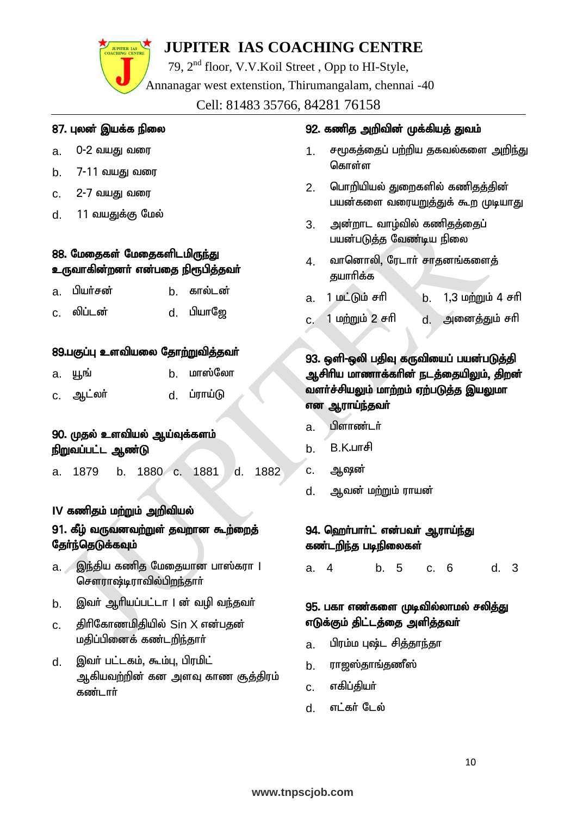79, 2nd floor, V.V.Koil Street , Opp to HI-Style,

Annanagar west extenstion, Thirumangalam, chennai -40

Cell: 81483 35766, 84281 76158

#### 87. புலன் இயக்க நிலை

**JUPITER IAS** 

- a. 0-2 வயது வரை
- b. 7-11 வயது வரை
- c. 2-7 வயது வரை
- d. **11 வயதுக்கு மேல்**

#### 88. மேதைகள் மேதைகளிடமிருந்து உருவாகின்றனா் என்பதை நிரூபித்தவா்

| a. பியர்சன் | b. கால்டன்        |
|-------------|-------------------|
| c. லிப்டன்  | d. பியா <b>ஜே</b> |

#### 89.பகுப்பு உளவியலை தோற்றுவித்தவர்

| а. уны    | b. மாஸ்லோ   |
|-----------|-------------|
| c. ஆட்லர் | d. ப்ராய்டு |

#### 90. முதல் உளவியல் ஆய்வுக்களம் நிறுவப்பட்ட ஆண்டு

a. 1879 b. 1880 c. 1881 d. 1882

#### IV கணிதம் மற்றும் அறிவியல்

#### 91. கீழ் வருவனவற்றுள் தவறான கூற்றைத் தேர்ந்தெடுக்கவும்

- a. இந்திய கணித மேதையான பாஸ்கரா | சௌராஷ்டிராவில்பிறந்தார் $\;$
- b. இவர் ஆரியப்பட்டா | ன் வழி வந்தவர்
- $c.$  திரிகோணமிதியில்  $Sin X$  என்பதன் மதிப்பினைக் கண்டறிந்தார்
- d. இவர் பட்டகம், கூம்பு, பிரமிட் ஆகியவற்றின் கன அளவு காண சூக்கிரம் கண்டார்

#### 92. கணித அறிவின் முக்கியத் துவம்

- 1. சமூகத்தைப் பற்றிய தகவல்களை அறிந்து கொள்ள
- 2. பொரியியல் துறைகளில் கணிதத்தின் பயன்களை வரையறுத்துக் கூற முடியாது
- 3. அன்றாட வாழ்வில் கணிதத்தைப் பயன்படுத்த வேண்டிய நிலை
- 4. வானொலி, ரேடார் சாதனங்களைத் குயாரிக்க
- a. 1 kl;Lk; rhp b. 1>3 kw;Wk; 4 rhp
- c. 1 மற்றும் 2 சரி d. அனைத்தும் சரி

#### 93. ஒளி-ஒலி பதிவு கருவியைப் பயன்படுத்தி ஆசிரிய மாணாக்கரின் நடத்தையிலும், திறன் வளர்ச்சியலும் மாற்றம் ஏற்படுத்த இயலுமா என ஆராய்ந்தவா்

- a. பிளாண்டர்
- $b.$  B.K.un $f$
- c. ஆஷன்
- d. ஆவன் மற்றும் ராயன்

#### 94. <u>ஹ</u>ெர்பார்ட் என்பவர் ஆராய்<u>ந்து</u> கண்டறிந்த படிநிலைகள்

a. 4 b. 5 c. 6 d. 3

#### 95. பகா எண்களை முடிவில்லாமல் சல<u>ித்த</u>ு எடுக்கும் திட்டத்தை அளித்தவா்

- a. பிரம்ம புஷ்ட சித்தாந்தா
- b. ராஜஸ்தாங்தணீஸ்
- c. எகிப்தியா்
- d. எட்கர் டேல்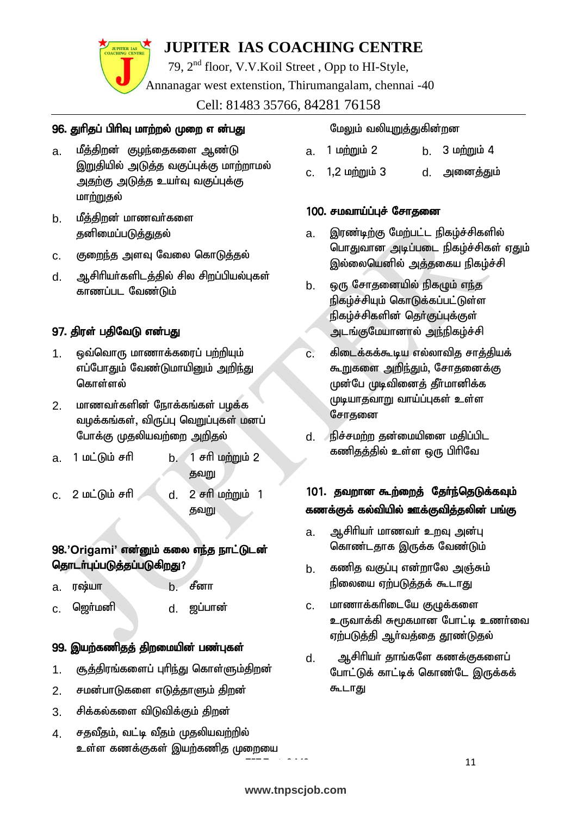79, 2nd floor, V.V.Koil Street , Opp to HI-Style, Annanagar west extenstion, Thirumangalam, chennai -40

Cell: 81483 35766, 84281 76158

#### 96. துரிதப் பிரிவு மாற்றல் முறை என்பது

- a. மீத்திறன் குழந்தைகளை ஆண்டு இறுதியில் அடுத்த வகுப்புக்கு மாற்றாமல் <u>அதற்கு</u> அடுத்த உயர்வு வகுப்புக்கு மாற்றுகுல்
- b. மீத்திறன் மாணவர்களை தனிமைப்படுத்துதல்
- c. குறைந்த அளவு வேலை கொடுத்தல்
- d. அசிரியர்களிடத்தில் சில சிறப்பியல்புகள் காணப்பட வேண்டும்

#### 97. திரள் பதிவேடு என்பது

- 1. ஒவ்வொரு மாணாக்கரைப் பற்றியும் எப்போதும் வேண்டுமாயினும் அறிந்து கொள்ளல்
- 2. மாணவர்களின் நோக்கங்கள் பழக்க வழக்கங்கள், விருப்பு வெறுப்புகள் மனப் போக்கு முதலியவற்றை அறிதல்
- $a. 1$  மட்டும் சரி $b. 1$  சரி மற்றும் 2 தவறு
- c. 2 மட்டும் சரி d. 2 சரி மற்றும் 1 கவறு

#### 98.'Origami' என்னும் கலை எந்த நாட்டுடன் தொடர்புப்படுத்தப்படுகிறது?

- a. **r**oguin b. <del>contract</del>
- c. ஹெர்மனி d. ஜப்பான்

## 99. இயற்கணிதத் திறமையின் பண்புகள்

- 1. குத்திரங்களைப் புரிந்து கொள்ளும்திறன்
- 2. சமன்பாடுகளை எடுத்தாளும் திறன்
- 3. சிக்கல்களை விடுவிக்கும் திறன்
- 4. சகவீதம், வட்டி வீதம் முதலியவற்றில் உள்ள கணக்குகள் இயற்கணித முறையை

#### மேலும் வலியுறுத்துகின்றன

- a. 1 **pmmin 2** b. 3 **pmmin 4**
- c. 1,2 மற்றும் 3 d. அனைத்தும்

#### 100. சமவாய்ப்புச் சோதனை

- a. இரண்டிற்கு மேற்பட்ட நிகழ்ச்சிகளில் பொதுவான அடிப்படை நிகழ்ச்சிகள் ஏதும் இல்லையெனில் அத்தகைய நிகழ்ச்சி
- b. ஒரு சோதனையில் நிகழும் எந்த நிகழ்ச்சியும் கொடுக்கப்பட்டுள்ள நிகழ்ச்சிகளின் தொ்குப்புக்குள் அடங்குமேயானால் அந்நிகழ்ச்சி
- $c$ . கிடைக்கக்கூடிய எல்லாவித சாத்தியக் கூறுகளை அறிந்தும், சோதனைக்கு முன்பே முடிவினைத் தீர்மானிக்க முடியாகுவாறு வாய்ப்புகள் உள்ள சோதனை
- d. நிச்சமற்ற தன்மையினை மதிப்பிட கண<u>ிதத்</u>தில் உள்ள ஒரு பிரிவே

#### 101. தவறான கூற்றைத் தேர்ந்தெடுக்கவும் கணக்குக் கல்வியில் ஊக்குவித்தலின் பங்கு

- a. ஆசிரியர் மாணவர் உறவு அன்பு கொண்டதாக இருக்க வேண்டும்
- b. கணிக வகுப்ப என்றாலே அஞ்சும் நிலையை ஏற்படுத்தக் கூடாது
- c. மாணாக்கரிடையே குழுக்களை உருவாக்கி சுமூகமான போட்டி உணர்வை ஏற்படுத்தி ஆர்வத்தை தூண்டுதல்
- d. அசிரியர் தாங்களே கணக்குகளைப் போட்டுக் காட்டிக் கொண்டே இருக்கக் கூடாது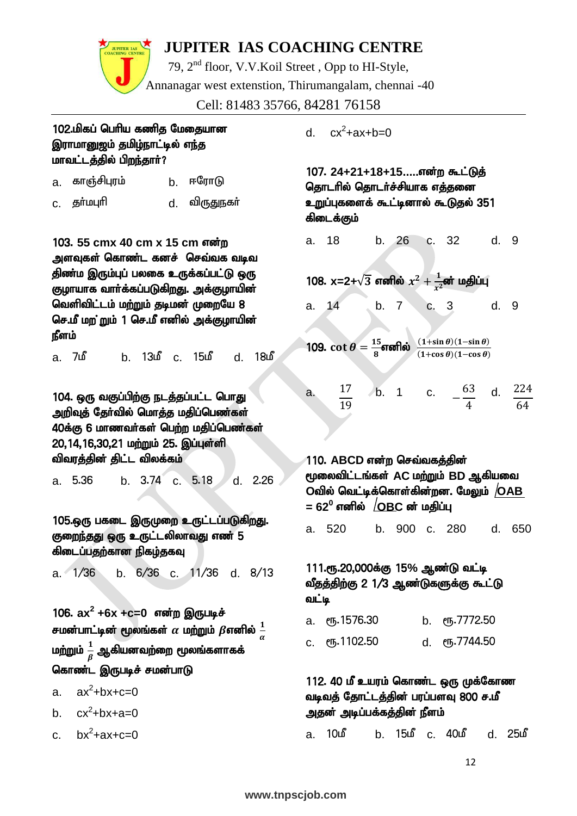79, 2nd floor, V.V.Koil Street , Opp to HI-Style, Annanagar west extenstion, Thirumangalam, chennai -40

Cell: 81483 35766, 84281 76158

#### 102.மிகப் பெரிய கணித மேதையான இராமானுஜம் தமிழ்நாட்டில் எந்த மாவட்டத்தில் பிறந்தார்?

| காஞ்சிபுரம்<br>a. |  | b. ஈரோடு |  |
|-------------------|--|----------|--|
|-------------------|--|----------|--|

c. தா்மபுாி d. விருதுநகா்

103. 55 cmx 40 cm x 15 cm என்ற அளவுகள் கொண்ட கனச் செவ்வக வடிவ திண்ம இரும்புப் பலகை உருக்கப்பட்டு ஒரு குழாயாக வார்க்கப்படுகிறது. அக்குழாயின் வெளிவிட்டம் மற்றும் தடிமன் முறையே 8 செ.மீ மற ்றும் 1 செ.மீ எனில் அக்குழாயின் நீளம்

a. 7மீ b. 13மீ c. 15மீ d. 18மீ

104. ஒரு வகுப்பிற்கு நடத்தப்பட்ட பொது அறிவுத் தேர்வில் மொத்த மதிப்பெண்கள் 40க்கு 6 மாணவர்கள் பெற்ற மதிப்பெண்கள் 20,14,16,30,21 மற்றும் 25. இப்புள்ளி விவரத்தின் திட்ட விலக்கம்

a. 5.36 b. 3.74 c. 5.18 d. 2.26

105.ஒரு பகடை இருமுறை உருட்டப்படுகிறது. குறைந்தது ஒரு உருட்டலிலாவது எண் 5 கிடைப்பதற்கான நிகழ்தகவு

a. 1/36 b. 6/36 c. 11/36 d. 8/13

106.  $ax^2 +6x +c=0$  என்ற இருபடிச் சமன்பாட்டின் மூலங்கள்  $\alpha$  மற்றும்  $\beta$ எனில்  $\frac{1}{\alpha}$ மற்றும்  $\frac{1}{\beta}$  ஆகியனவற்றை மூலங்களாகக் கொண்ட இருபடிச் சமன்பாடு

a.  $ax^2+bx+c=0$ 

b.  $cx^2+bx+a=0$ 

c.  $bx^2+ax+c=0$ 

 $d_{\rm c}$  $cx^2$ +ax+b=0

107. 24+21+18+15.....என்ற கூட்டுத் தொடரில் தொடர்ச்சியாக எத்தனை உறுப்புகளைக் கூட்டினால் கூடுதல் 351 கிடைக்கும்

a. 18 b. 26 c. 32 d. 9

108. **x=2+** $\sqrt{3}$  எனில்  $x^2 + \frac{1}{x^2}$  $\frac{1}{x^2}$ ன் மதிப்பு

a. 14 b. 7 c. 3 d. 9

j 109.  $\cot \theta = \frac{15}{8}$  $\frac{15}{8}$ எனில்  $\frac{(1+\sin\theta)(1-\sin\theta)}{(1+\cos\theta)(1-\cos\theta)}$ 

a.  $17$ 19 b. 1 c.  $-\frac{63}{4}$ 4 d.  $224$ 64

110. ABCD என்ற செவ்வக<u>க்</u>கின் %iytpl;lq;fs; **AC** kw;Wk; **BD** Mfpait  $\boldsymbol{\mathrm{O}}$ வில் வெட்டிக்கொள்கின்றன. மேலும்  $/\boldsymbol{\mathrm{O}}$ AB  $= 62^0$  எனில்  $\sqrt{\text{OBC}}$  ன் மதிப்பு a. 520 b. 900 c. 280 d. 650

111.ரூ.20,000க்கு 15% ஆண்டு வட்டி வீதத்திற்கு 2 1/3 ஆண்டுகளுக்கு கூட்டு வட்டி

| а. ст. 1576.30 | b. $\epsilon$ <sup>0</sup> 5.7772.50 |
|----------------|--------------------------------------|
| c. eҧ.1102.50  | d. ரூ.7744.50                        |

#### 112. 40 மீ உயரம் கொண்ட ஒரு முக்கோண வடிவத் தோட்டத்தின் பரப்பளவு 800 ச.மீ அதன் அடிப்பக்கத்தின் நீளம்

a. 10b b. 15b c. 40b d. 25b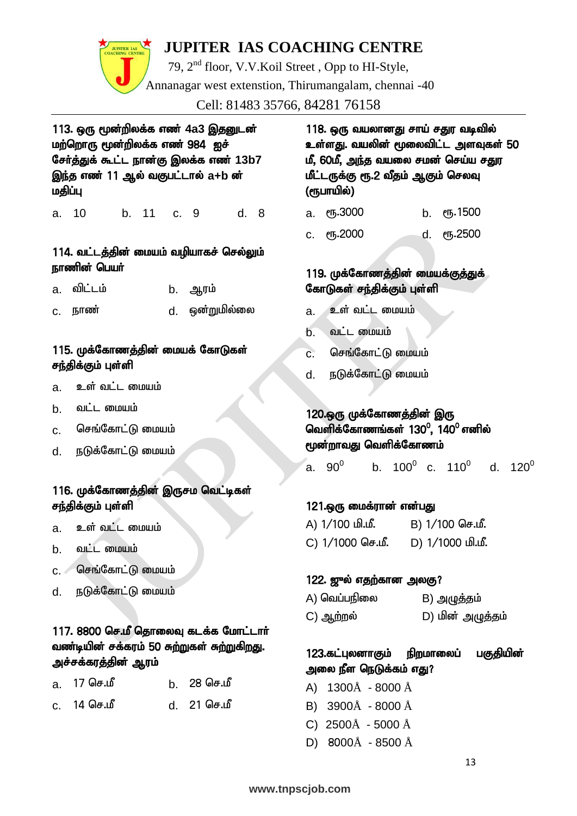79, 2nd floor, V.V.Koil Street , Opp to HI-Style, Annanagar west extenstion, Thirumangalam, chennai -40

Cell: 81483 35766, 84281 76158

113. ஒரு மூன்றிலக்க எண் 4a3 <u>இதனு</u>டன் மற்றொரு மூன்றிலக்க எண் $984$  ஐச் சேர்த்துக் கூட்ட நான்கு இலக்க எண் 13b7 இந்த எண் 11 ஆல் வகுபட்டால் a+b ன் மதிப்பு

a. 10 b. 11 c. 9 d. 8

#### 114. வட்டத்தின் மையம் வழியாகச் செல்லும் நாணின் பெயர்

| a. விட்டம் | b. ஆரம் |
|------------|---------|
|            |         |

c. ehz; d. xd;Wkpy;iy

#### 115. முக்கோணத்தின் மையக் கோடுகள் சந்திக்கும் புள்ளி

- a. உள் வட்ட மையம்
- b. வட்ட மையம்
- c. செங்கோட்டு மையம்
- d. நடுக்கோட்டு மையம்

#### 116. முக்கோணத்தின் இருசம வெட்டிகள் சந்திக்கும் புள்ளி

- a. உள் வட்ட மையம்
- $b.$   $\Omega L$   $\Omega$   $\Omega$
- $c.$  செங்கோட்டு மையம்
- d. நடுக்கோட்டு மையம்

#### $117.8800$  செ.மீ தொலைவு கடக்க மோட்டார் வண்டியின் சக்கரம் 50 சுற்றுகள் சுற்றுகிறது. அச்சக்கரத்தின் ஆரம்

| a. 17 செ <b>.</b> மீ | b. 28 செ.மீ |
|----------------------|-------------|
| c. 14 செ.மீ          | d. 21 செ.மீ |

118. ஒரு வயலானது சாய் சதுர வடிவில் உள்ளது. வயலின் மூலைவிட்ட அளவுகள் 50 மீ, 60மீ, அந்த வயலை சமன் செய்ய சதுர மீட்டருக்கு ரூ.2 வீதம் ஆகும் செலவு (ரூபாயில்)

|  | а. ரூ.3000 |  | b. ரூ.1500 |
|--|------------|--|------------|
|--|------------|--|------------|

c. &.2000 d. &.2500

#### 119. முக்கோணத்தின் மையக்குத்துக் கோடுகள் சந்திக்கும் புள்ளி

- a. உள் வட்ட மையம்
- $b.$   $\omega$ ட்ட மையம்
- c. செங்கோட்டு மையம்
- d. நடுக்கோட்டு மையம்

#### 120.ஒரு முக்கோணத்தின் இரு வெளிக்கோணங்கள் 130<sup>0</sup>, 140<sup>0</sup> எனில் மூன்றாவது வெளிக்கோணம்

a.  $90^0$ b. 100 $^{\rm 0}$  c. 110 $^{\rm 0}$  d. 120 $^{\rm 0}$ 

#### 121.ஒரு மைக்ரான் என்பது

| A) 1/100 மி.மீ.  | B) 1/100 செ.மீ.  |
|------------------|------------------|
| C) 1/1000 செ.மீ. | D) 1/1000 மி.மீ. |

#### $122.$  ഈல் எதற்கான அலகு?

| A) வெப்பநிலை | B) அழுத்தம்      |
|--------------|------------------|
| C) ஆற்றல்    | D) மின் அழுத்தம் |

### 123.கட்புலனாகும் நிறமாலைப் பகுதியின் அலை நீள நெடுக்கம் எது?

- A) 1300Å 8000 Å
- B) 3900Å 8000 Å
- C) 2500Å 5000 Å
- D) 8000Å 8500 Å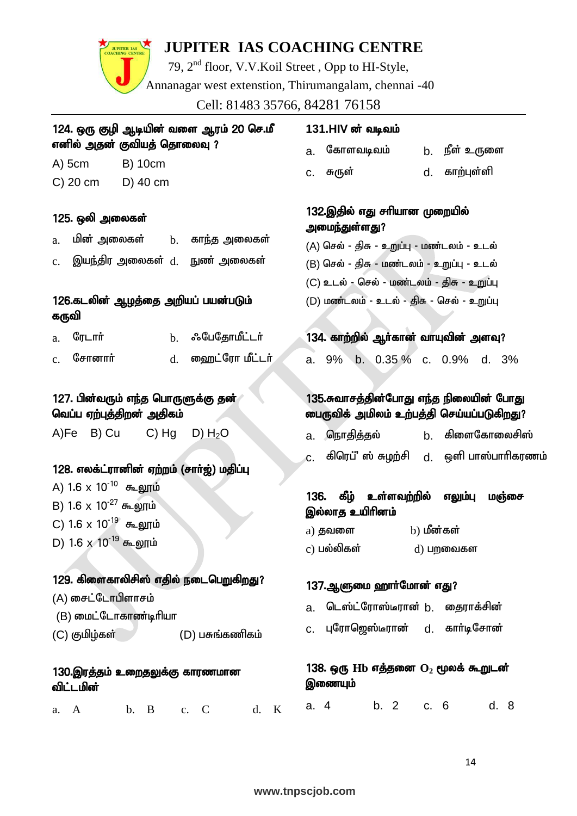# JUPITER IAS

## **JUPITER IAS COACHING CENTRE**

79, 2nd floor, V.V.Koil Street , Opp to HI-Style, Annanagar west extenstion, Thirumangalam, chennai -40

Cell: 81483 35766, 84281 76158

| 124. ஒரு குழி ஆடியின் வளை ஆரம் 20 செ.மீ                              | 13                   |  |  |  |  |
|----------------------------------------------------------------------|----------------------|--|--|--|--|
| எனில் அதன் குவியத் தொலைவு ?                                          |                      |  |  |  |  |
| <b>B) 10cm</b><br>$A)$ 5cm                                           | C.                   |  |  |  |  |
| C) 20 cm D) 40 cm                                                    |                      |  |  |  |  |
|                                                                      | 13                   |  |  |  |  |
| 125. ஒலி அலைகள்                                                      | அ                    |  |  |  |  |
| மின் அலைகள் <sub>b.</sub> காந்த அலைகள்<br>a.                         | (A)                  |  |  |  |  |
| $\,\mathrm{c.}\quad$ இயந்திர அலைகள் $\,\mathrm{d.}\quad$ நுண் அலைகள் | (B)                  |  |  |  |  |
|                                                                      | (C)                  |  |  |  |  |
| 126.கடலின் ஆழத்தை அறியப் பயன்படும்                                   | (D)                  |  |  |  |  |
| கருவி                                                                |                      |  |  |  |  |
| ரேடார்<br><b>b.</b> ஃபேதோமீட்டர்<br>a.                               | 13                   |  |  |  |  |
| $c.$ சோனார்<br>d. ஹைட்ரோ மீட்டர்                                     | a.                   |  |  |  |  |
|                                                                      |                      |  |  |  |  |
| 127. பின்வரும் எந்த பொருளுக்கு தன்                                   | 13                   |  |  |  |  |
| வெப்ப ஏற்புத்திறன் அதிகம்                                            | ை                    |  |  |  |  |
| A)Fe B) Cu C) Hg D) $H_2O$                                           | a.                   |  |  |  |  |
|                                                                      | c.                   |  |  |  |  |
| 128. எலக்ட்ரானின் ஏற்றம் (சாா்ஜ்) மதிப்பு                            |                      |  |  |  |  |
| A) 1.6 x 10 <sup>-10</sup> கூலூம்                                    |                      |  |  |  |  |
| B) 1.6 x 10 <sup>-27</sup> கூலூம்                                    | 13 <sub>0</sub><br>இ |  |  |  |  |
| C) $1.6 \times 10^{-19}$ கூலூம்                                      | a)                   |  |  |  |  |
| D) 1.6 x 10 <sup>-19</sup> கூலூம்                                    | c)                   |  |  |  |  |
|                                                                      |                      |  |  |  |  |
| 129. கிளைகாலிசிஸ் எதில் நடைபெறுகிறது?                                | 13                   |  |  |  |  |
| (A) சைட்டோபிளாசம்                                                    |                      |  |  |  |  |
| (B) மைட்டோகாண்டிரியா                                                 | a.                   |  |  |  |  |
| (C) குமிழ்கள்<br>(D) பசுங்கணிகம்                                     | c.                   |  |  |  |  |
|                                                                      |                      |  |  |  |  |
| 130.இரத்தம் உறைதலுக்கு காரணமான<br>விட்டமின்                          | 13<br>இ              |  |  |  |  |
| b. B<br>c. $C$<br>d.<br>A<br>a.                                      | a.<br>K              |  |  |  |  |

#### 1.HIV ன் வடிவம்

| கோளவடிவம் |  |
|-----------|--|
|           |  |

c. RUs; d. fhw;Gs;sp

<u>நீள் உரு</u>ளை

#### 2.இதில் எது சரியான முறையில் மைந்துள்ளது?

- ) செல் திசு உறுப்பு மண்டலம் உடல்
- ) செல் திசு மண்டலம் உறுப்பு உடல்
- ) உடல் செல் மண்டலம் கிசு உறுப்பு

) மண்டலம் - உடல் - திசு - செல் - உறுப்பு

#### 4. காற்றில் ஆா்கான் வாயுவின் அளவு?

a. 9% b. 0.35 % c. 0.9% d. 3%

#### 5.சுவாசத்தின்போது எந்த நிலையின் ப<u>ோத</u>ு .<br>பருவிக் அமிலம் உற்பத்தி செய்யப்படுகி<u>ற</u>து?

- a. nehjpj;jy; b. fpisNfhiyrp];
- கிரெப்' ஸ் சுழற்சி d. **ஒளி பாஸ்பாரிகரணம்**

#### 6. கீழ் உள்ளவ<u>ற்</u>றில் எலும்பு மஞ்சை ல்லாத உயிரினம்

| a) தவளை     | b) மீன்கள்  |
|-------------|-------------|
| c) பல்லிகள் | $d)$ பறவைகள |

#### 7.ஆளுமை ஹாா்மோன் எது?

- டெஸ்ட்ரோஸ்டீரான் b. தைராக்சின்
- புரோஜெஸ்டீரான் d. கார்டிசோன்

#### ${\bf 8.}$  ஒரு  ${\bf H}$ b எத்தனை  ${\bf O}_2$  மூலக் கூறுடன் ணையும்

a. 4 b. 2 c. 6 d. 8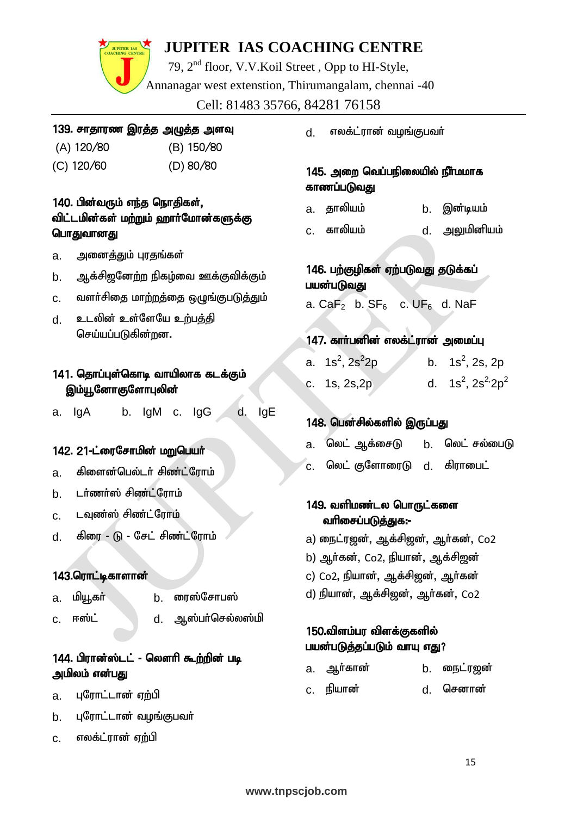

79, 2nd floor, V.V.Koil Street , Opp to HI-Style, Annanagar west extenstion, Thirumangalam, chennai -40 Cell: 81483 35766, 84281 76158

#### 139. சாதாரண இரத்த அழுத்த அளவு

- 
- (A) 120/80 (B) 150/80
- (C) 120/60 (D) 80/80
- 

#### 140. பின்வரும் எந்த நொதிகள், விட்டமின்கள் மற்றும் ஹார்மோன்களுக்கு பொதுவானது

- a. அனைத்தும் புரதங்கள்
- b. ஆக்சிஜனேற்ற நிகழ்வை ஊக்குவிக்கும்
- c. வளர்சிதை மாற்றத்தை ஒழுங்குபடுத்தும்
- d. உடலின் உள்ளேயே உற்பத்தி செய்யப்படுகின்றன.

#### 141. தொப்புள்கொடி வாயிலாக கடக்கும் இம்யூனோகுளோபுலின்

a. IgA b. IgM c. IgG d. IgE

#### 142. 21-ட்ரைசோமின் மறுபெயர்

- a. கிளைன்பெல்டர் சிண்ட்ரோம்
- b. **டர்ணர்ஸ் சிண்ட்ரோம்**
- c. டவுண்ஸ் சிண்ட்ரோம்
- d. கிரை டு சேட் சிண்ட்ரோம்

#### 143.ரொட்டிகாளான்

- a. மியூகா் **b. ரைஸ்சோபஸ்**
- $c.$  ஈஸ்ட் $d.$  ஆஸ்பர்செல்லஸ்மி
- 

#### 144. பிரான்ஸ்டட் - லௌரி கூற்றின் படி அமிலம் என்பது

- a. புரோட்டான் ஏற்பி
- b. புரோட்டான் வழங்குபவர்
- c. எலக்ட்ரான் ஏற்பி

d. எலக்ட்ரான் வழங்குபவர்

#### 145. அறை வெப்பநிலையில் நீர்மமாக காணப்படுவது

- a. தாலியம் b. இன்டியம்
- c. fhypak; d. mYkpdpak;

#### 146. பற்குழிகள் ஏற்படுவது தடுக்கப் பயன்படுவது

- a. Ca $F_2$  b. S $F_6$  c. U $F_6$  d. NaF
- 147. காா்பனின் எலக்ட்ரான் அமைப்பு
- a. 1s<sup>2</sup>, 2s<sup>2</sup>  $2p$  b. 1s<sup>2</sup>, 2s, 2p c. 1s, 2s, 2p d.  $1s^2$ ,  $2s^2.2p^2$

#### 148. பென்சில்களில் இருப்பது

- a. லெட் ஆக்சைடு **b. லெட் சல்பை**டு
- $c$ . லெட் குளோரைடு  $d$ . கிராபைட்

#### 149. வளிமண்டல பொருட்களை வரிசைப்படுத்துக:-

- a) நைட்ரஜன், ஆக்சிஜன், ஆர்கன், Co2
- b) ஆர்கன், Co2, நியான், ஆக்சிஜன்
- c) Co2, நியான், ஆக்சிஜன், ஆர்கன்
- d) நியான், ஆக்சிறன், ஆர்கன், Co2

#### 150.விளம்பர விளக்குகளில் பயன்படுத்தப்படும் வாயு எது?

- a. ஆர்கான் b. நைட்ரஜன்
- c. epahd; d. nrdhd;